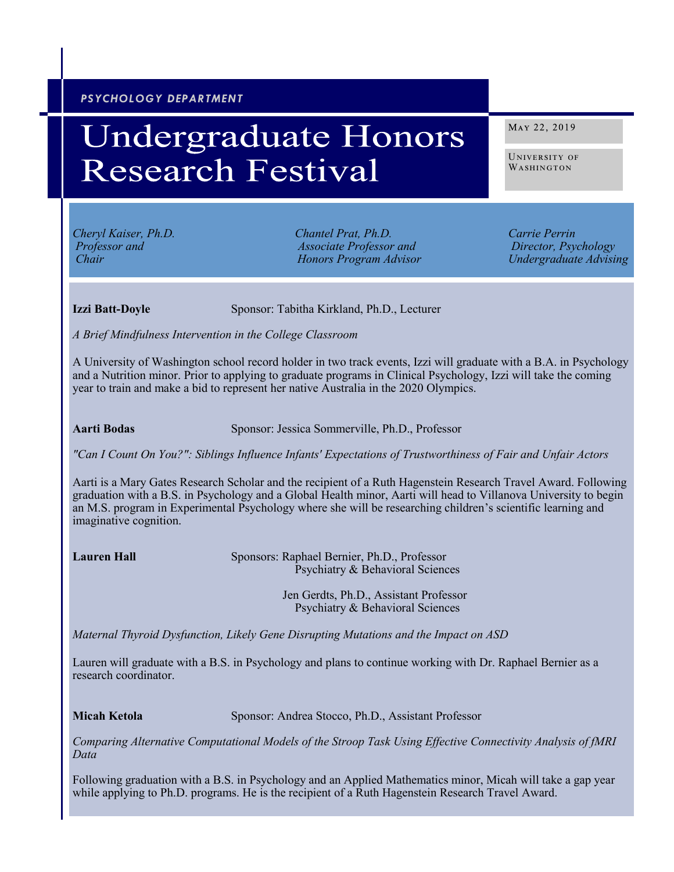## *PSYCHOLOGY DEPARTMENT*

# **Undergraduate Honors Research Festival**

*Cheryl Kaiser, Ph.D. Chantel Prat, Ph.D. Carrie Perrin Professor and Associate Professor and Director, Psychology Chair Honors Program Advisor Undergraduate Advising*

MAY 22, 2019

University of WASHINGTON

**Izzi Batt-Doyle** Sponsor: Tabitha Kirkland, Ph.D., Lecturer

*A Brief Mindfulness Intervention in the College Classroom*

A University of Washington school record holder in two track events, Izzi will graduate with a B.A. in Psychology and a Nutrition minor. Prior to applying to graduate programs in Clinical Psychology, Izzi will take the coming year to train and make a bid to represent her native Australia in the 2020 Olympics.

**Aarti Bodas** Sponsor: Jessica Sommerville, Ph.D., Professor

*"Can I Count On You?": Siblings Influence Infants' Expectations of Trustworthiness of Fair and Unfair Actors*

Aarti is a Mary Gates Research Scholar and the recipient of a Ruth Hagenstein Research Travel Award. Following graduation with a B.S. in Psychology and a Global Health minor, Aarti will head to Villanova University to begin an M.S. program in Experimental Psychology where she will be researching children's scientific learning and imaginative cognition.

**Lauren Hall** Sponsors: Raphael Bernier, Ph.D., Professor Psychiatry & Behavioral Sciences

> Jen Gerdts, Ph.D., Assistant Professor Psychiatry & Behavioral Sciences

*Maternal Thyroid Dysfunction, Likely Gene Disrupting Mutations and the Impact on ASD* 

Lauren will graduate with a B.S. in Psychology and plans to continue working with Dr. Raphael Bernier as a research coordinator.

**Micah Ketola** Sponsor: Andrea Stocco, Ph.D., Assistant Professor

*Comparing Alternative Computational Models of the Stroop Task Using Effective Connectivity Analysis of fMRI Data*

Following graduation with a B.S. in Psychology and an Applied Mathematics minor, Micah will take a gap year while applying to Ph.D. programs. He is the recipient of a Ruth Hagenstein Research Travel Award.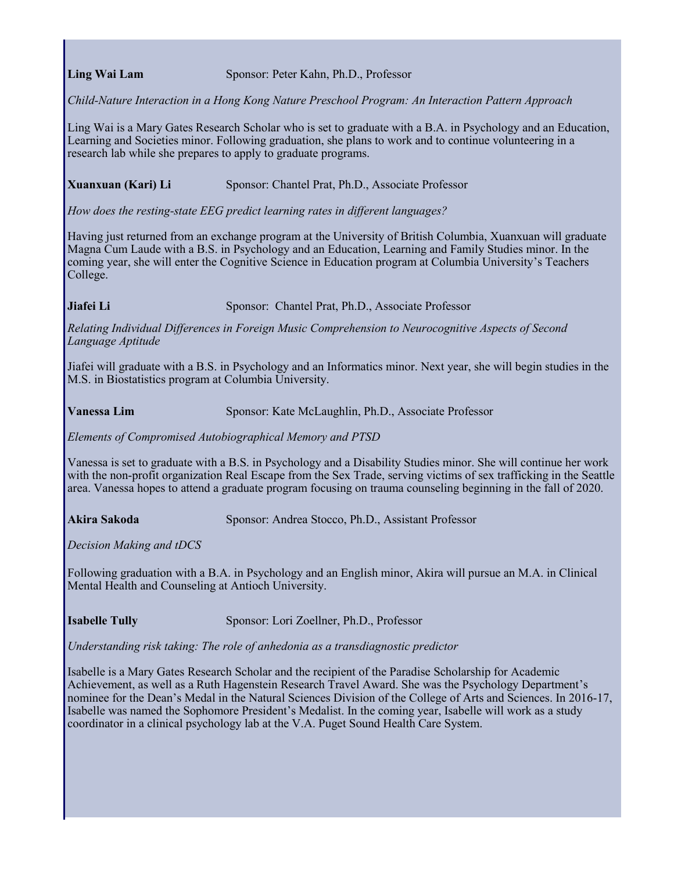**Ling Wai Lam** Sponsor: Peter Kahn, Ph.D., Professor

*Child-Nature Interaction in a Hong Kong Nature Preschool Program: An Interaction Pattern Approach* 

Ling Wai is a Mary Gates Research Scholar who is set to graduate with a B.A. in Psychology and an Education, Learning and Societies minor. Following graduation, she plans to work and to continue volunteering in a research lab while she prepares to apply to graduate programs.

### **Xuanxuan (Kari) Li** Sponsor: Chantel Prat, Ph.D., Associate Professor

*How does the resting-state EEG predict learning rates in different languages?*

Having just returned from an exchange program at the University of British Columbia, Xuanxuan will graduate Magna Cum Laude with a B.S. in Psychology and an Education, Learning and Family Studies minor. In the coming year, she will enter the Cognitive Science in Education program at Columbia University's Teachers College.

**Jiafei Li** Sponsor: Chantel Prat, Ph.D., Associate Professor

*Relating Individual Differences in Foreign Music Comprehension to Neurocognitive Aspects of Second Language Aptitude*

Jiafei will graduate with a B.S. in Psychology and an Informatics minor. Next year, she will begin studies in the M.S. in Biostatistics program at Columbia University.

Vanessa Lim Sponsor: Kate McLaughlin, Ph.D., Associate Professor

*Elements of Compromised Autobiographical Memory and PTSD*

Vanessa is set to graduate with a B.S. in Psychology and a Disability Studies minor. She will continue her work with the non-profit organization Real Escape from the Sex Trade, serving victims of sex trafficking in the Seattle area. Vanessa hopes to attend a graduate program focusing on trauma counseling beginning in the fall of 2020.

**Akira Sakoda** Sponsor: Andrea Stocco, Ph.D., Assistant Professor

*Decision Making and tDCS*

Following graduation with a B.A. in Psychology and an English minor, Akira will pursue an M.A. in Clinical Mental Health and Counseling at Antioch University.

**Isabelle Tully** Sponsor: Lori Zoellner, Ph.D., Professor

*Understanding risk taking: The role of anhedonia as a transdiagnostic predictor*

Isabelle is a Mary Gates Research Scholar and the recipient of the Paradise Scholarship for Academic Achievement, as well as a Ruth Hagenstein Research Travel Award. She was the Psychology Department's nominee for the Dean's Medal in the Natural Sciences Division of the College of Arts and Sciences. In 2016-17, Isabelle was named the Sophomore President's Medalist. In the coming year, Isabelle will work as a study coordinator in a clinical psychology lab at the V.A. Puget Sound Health Care System.